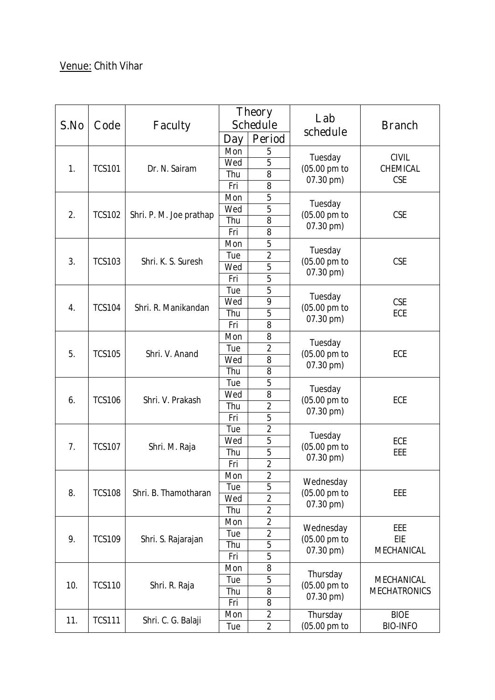## **Venue:** Chith Vihar

| S.No | Code          | <b>Faculty</b>          | <b>Theory</b><br><b>Schedule</b> |                     | Lab                                    | <b>Branch</b>                            |
|------|---------------|-------------------------|----------------------------------|---------------------|----------------------------------------|------------------------------------------|
|      |               |                         | <b>Day</b>                       | Period              | schedule                               |                                          |
| 1.   | <b>TCS101</b> | Dr. N. Sairam           | Mon                              | 5                   | Tuesday<br>(05.00 pm to<br>07.30 pm)   | <b>CIVIL</b><br>CHEMICAL<br><b>CSE</b>   |
|      |               |                         | Wed                              | 5                   |                                        |                                          |
|      |               |                         | Thu                              | $\overline{8}$      |                                        |                                          |
|      |               |                         | Fri                              | 8                   |                                        |                                          |
| 2.   | <b>TCS102</b> | Shri. P. M. Joe prathap | Mon                              | 5                   | Tuesday<br>(05.00 pm to<br>07.30 pm)   | <b>CSE</b>                               |
|      |               |                         | Wed                              | $\overline{5}$      |                                        |                                          |
|      |               |                         | Thu                              | 8                   |                                        |                                          |
|      |               |                         | Fri                              | 8                   |                                        |                                          |
|      | <b>TCS103</b> | Shri. K. S. Suresh      | Mon                              | 5                   | Tuesday<br>(05.00 pm to<br>07.30 pm)   | <b>CSE</b>                               |
| 3.   |               |                         | Tue                              | $\overline{2}$      |                                        |                                          |
|      |               |                         | Wed                              | 5                   |                                        |                                          |
|      |               |                         | Fri                              | 5                   |                                        |                                          |
|      |               | Shri. R. Manikandan     | Tue                              | 5                   | Tuesday<br>(05.00 pm to<br>07.30 pm)   | <b>CSE</b><br>ECE                        |
| 4.   | <b>TCS104</b> |                         | Wed                              | 9                   |                                        |                                          |
|      |               |                         | Thu                              | 5                   |                                        |                                          |
|      |               |                         | Fri                              | 8                   |                                        |                                          |
|      | <b>TCS105</b> | Shri. V. Anand          | Mon                              | 8                   | Tuesday<br>(05.00 pm to<br>07.30 pm)   | ECE                                      |
| 5.   |               |                         | Tue                              | $\overline{2}$      |                                        |                                          |
|      |               |                         | Wed                              | 8                   |                                        |                                          |
|      |               |                         | Thu                              | 8                   |                                        |                                          |
| 6.   | <b>TCS106</b> | Shri. V. Prakash        | Tue                              | $\overline{5}$      | Tuesday<br>(05.00 pm to<br>07.30 pm)   | ECE                                      |
|      |               |                         | Wed                              | 8                   |                                        |                                          |
|      |               |                         | Thu                              | $\overline{2}$      |                                        |                                          |
|      |               |                         | Fri                              | 5<br>$\overline{2}$ |                                        |                                          |
|      | <b>TCS107</b> | Shri. M. Raja           | Tue                              |                     | Tuesday<br>(05.00 pm to<br>07.30 pm)   | ECE<br>EEE                               |
| 7.   |               |                         | Wed                              | 5<br>$\overline{5}$ |                                        |                                          |
|      |               |                         | Thu<br>Fri                       | $\overline{2}$      |                                        |                                          |
|      |               |                         | Mon                              | $\overline{c}$      |                                        |                                          |
| 8.   | <b>TCS108</b> | Shri. B. Thamotharan    | Tue                              | 5                   | Wednesday<br>(05.00 pm to<br>07.30 pm) | <b>EEE</b>                               |
|      |               |                         | Wed                              | $\overline{2}$      |                                        |                                          |
|      |               |                         | Thu                              | $\overline{2}$      |                                        |                                          |
|      |               |                         | Mon                              | $\overline{2}$      |                                        |                                          |
| 9.   | <b>TCS109</b> | Shri. S. Rajarajan      | Tue                              | $\overline{2}$      | Wednesday<br>(05.00 pm to<br>07.30 pm) | EEE                                      |
|      |               |                         | Thu                              | 5                   |                                        | EIE<br>MECHANICAL                        |
|      |               |                         | Fri                              | 5                   |                                        |                                          |
|      | <b>TCS110</b> | Shri. R. Raja           | Mon                              | 8                   | Thursday<br>(05.00 pm to<br>07.30 pm)  | <b>MECHANICAL</b><br><b>MECHATRONICS</b> |
|      |               |                         | Tue                              | 5                   |                                        |                                          |
| 10.  |               |                         | Thu                              | 8                   |                                        |                                          |
|      |               |                         | Fri                              | 8                   |                                        |                                          |
| 11.  | <b>TCS111</b> | Shri. C. G. Balaji      | Mon                              | $\overline{2}$      | Thursday                               | <b>BIOE</b>                              |
|      |               |                         | Tue                              | $\overline{2}$      | (05.00 pm to                           | <b>BIO-INFO</b>                          |